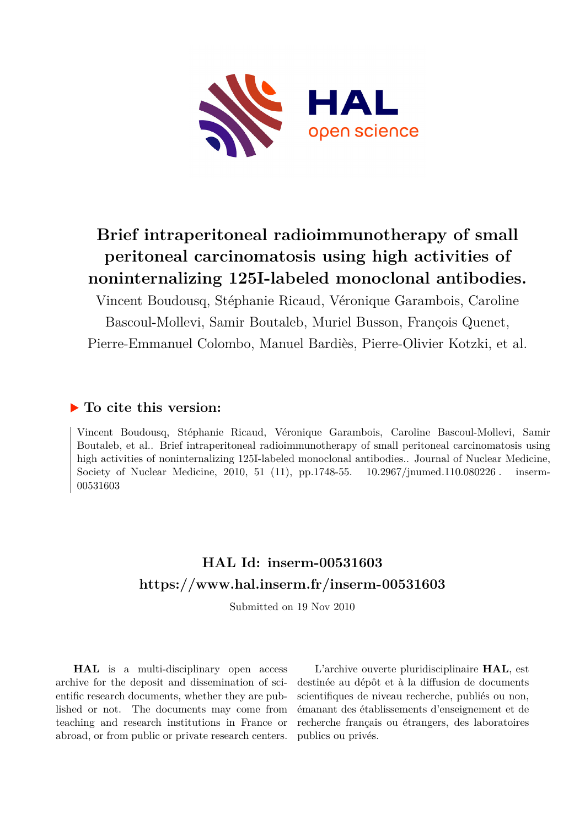

# **Brief intraperitoneal radioimmunotherapy of small peritoneal carcinomatosis using high activities of noninternalizing 125I-labeled monoclonal antibodies.**

Vincent Boudousq, Stéphanie Ricaud, Véronique Garambois, Caroline Bascoul-Mollevi, Samir Boutaleb, Muriel Busson, François Quenet, Pierre-Emmanuel Colombo, Manuel Bardiès, Pierre-Olivier Kotzki, et al.

# **To cite this version:**

Vincent Boudousq, Stéphanie Ricaud, Véronique Garambois, Caroline Bascoul-Mollevi, Samir Boutaleb, et al.. Brief intraperitoneal radioimmunotherapy of small peritoneal carcinomatosis using high activities of noninternalizing 125I-labeled monoclonal antibodies.. Journal of Nuclear Medicine, Society of Nuclear Medicine, 2010, 51 (11), pp.1748-55.  $10.2967/jnumed.110.080226$ . inserm-00531603

# **HAL Id: inserm-00531603 <https://www.hal.inserm.fr/inserm-00531603>**

Submitted on 19 Nov 2010

**HAL** is a multi-disciplinary open access archive for the deposit and dissemination of scientific research documents, whether they are published or not. The documents may come from teaching and research institutions in France or abroad, or from public or private research centers.

L'archive ouverte pluridisciplinaire **HAL**, est destinée au dépôt et à la diffusion de documents scientifiques de niveau recherche, publiés ou non, émanant des établissements d'enseignement et de recherche français ou étrangers, des laboratoires publics ou privés.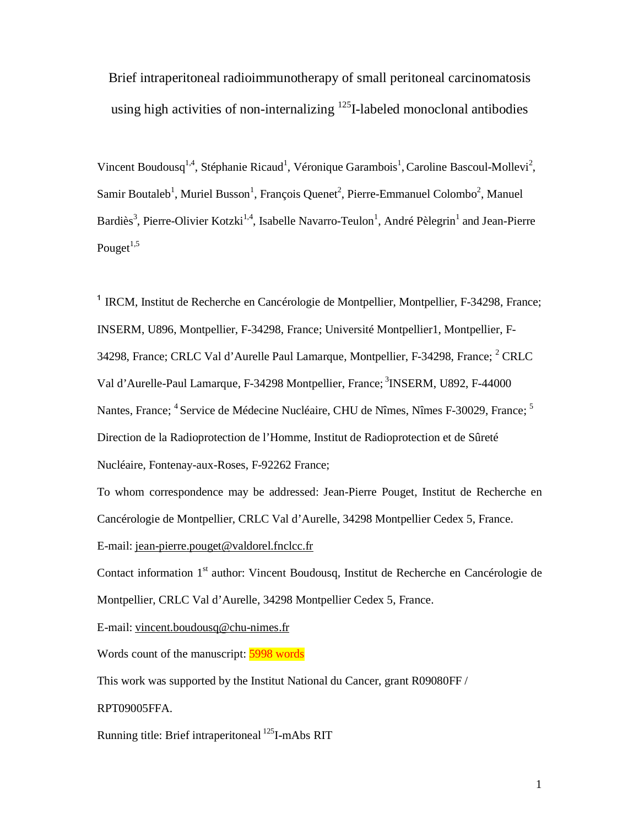Brief intraperitoneal radioimmunotherapy of small peritoneal carcinomatosis using high activities of non-internalizing  $^{125}$ I-labeled monoclonal antibodies

Vincent Boudousq<sup>1,4</sup>, Stéphanie Ricaud<sup>1</sup>, Véronique Garambois<sup>1</sup>, Caroline Bascoul-Mollevi<sup>2</sup>, Samir Boutaleb<sup>1</sup>, Muriel Busson<sup>1</sup>, François Quenet<sup>2</sup>, Pierre-Emmanuel Colombo<sup>2</sup>, Manuel Bardiès<sup>3</sup>, Pierre-Olivier Kotzki<sup>1,4</sup>, Isabelle Navarro-Teulon<sup>1</sup>, André Pèlegrin<sup>1</sup> and Jean-Pierre Pouget $^{1,5}$ 

<sup>1</sup> IRCM, Institut de Recherche en Cancérologie de Montpellier, Montpellier, F-34298, France; INSERM, U896, Montpellier, F-34298, France; Université Montpellier1, Montpellier, F-34298, France; CRLC Val d'Aurelle Paul Lamarque, Montpellier, F-34298, France;  $^2$  CRLC Val d'Aurelle-Paul Lamarque, F-34298 Montpellier, France; <sup>3</sup>INSERM, U892, F-44000 Nantes, France; <sup>4</sup> Service de Médecine Nucléaire, CHU de Nîmes, Nîmes F-30029, France; <sup>5</sup> Direction de la Radioprotection de l'Homme, Institut de Radioprotection et de Sûreté Nucléaire, Fontenay-aux-Roses, F-92262 France;

To whom correspondence may be addressed: Jean-Pierre Pouget, Institut de Recherche en Cancérologie de Montpellier, CRLC Val d'Aurelle, 34298 Montpellier Cedex 5, France. E-mail: jean-pierre.pouget@valdorel.fnclcc.fr

Contact information 1<sup>st</sup> author: Vincent Boudousq, Institut de Recherche en Cancérologie de Montpellier, CRLC Val d'Aurelle, 34298 Montpellier Cedex 5, France.

E-mail: vincent.boudousq@chu-nimes.fr

Words count of the manuscript: 5998 words

This work was supported by the Institut National du Cancer, grant R09080FF /

RPT09005FFA.

Running title: Brief intraperitoneal <sup>125</sup>I-mAbs RIT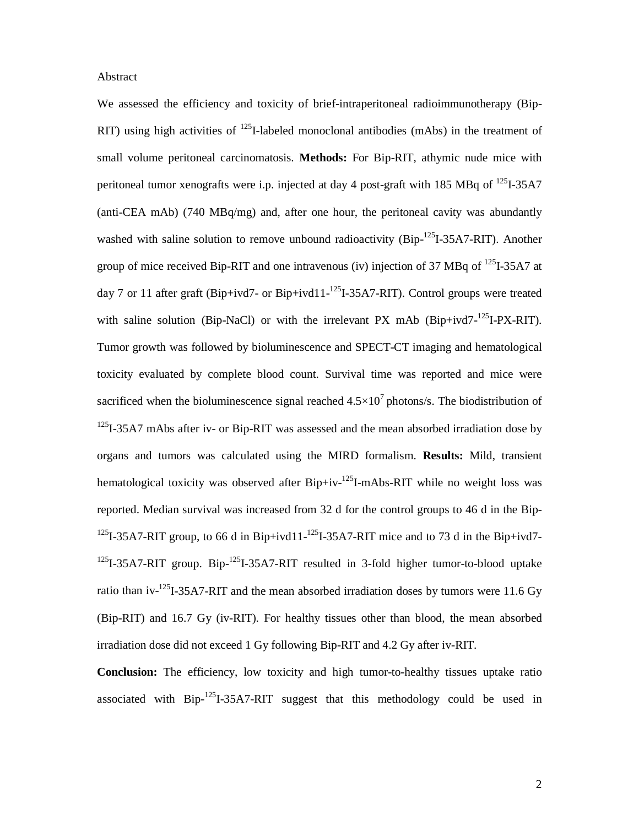#### Abstract

We assessed the efficiency and toxicity of brief-intraperitoneal radioimmunotherapy (Bip-RIT) using high activities of  $^{125}$ I-labeled monoclonal antibodies (mAbs) in the treatment of small volume peritoneal carcinomatosis. **Methods:** For Bip-RIT, athymic nude mice with peritoneal tumor xenografts were i.p. injected at day 4 post-graft with 185 MBq of  $^{125}I-35A7$ (anti-CEA mAb) (740 MBq/mg) and, after one hour, the peritoneal cavity was abundantly washed with saline solution to remove unbound radioactivity (Bip- $^{125}I$ -35A7-RIT). Another group of mice received Bip-RIT and one intravenous (iv) injection of 37 MBq of  $^{125}I$ -35A7 at day 7 or 11 after graft (Bip+ivd7- or Bip+ivd11- $^{125}$ I-35A7-RIT). Control groups were treated with saline solution (Bip-NaCl) or with the irrelevant PX mAb (Bip+ivd7- $125$ I-PX-RIT). Tumor growth was followed by bioluminescence and SPECT-CT imaging and hematological toxicity evaluated by complete blood count. Survival time was reported and mice were sacrificed when the bioluminescence signal reached  $4.5 \times 10^7$  photons/s. The biodistribution of  $125$ I-35A7 mAbs after iv- or Bip-RIT was assessed and the mean absorbed irradiation dose by organs and tumors was calculated using the MIRD formalism. **Results:** Mild, transient hematological toxicity was observed after  $Bip+iv$ <sup>125</sup>I-mAbs-RIT while no weight loss was reported. Median survival was increased from 32 d for the control groups to 46 d in the Bip-<sup>125</sup>I-35A7-RIT group, to 66 d in Bip+ivd11-<sup>125</sup>I-35A7-RIT mice and to 73 d in the Bip+ivd7- $^{125}I-35A7-RIT$  group. Bip- $^{125}I-35A7-RIT$  resulted in 3-fold higher tumor-to-blood uptake ratio than iv- $^{125}I$ -35A7-RIT and the mean absorbed irradiation doses by tumors were 11.6 Gy (Bip-RIT) and 16.7 Gy (iv-RIT). For healthy tissues other than blood, the mean absorbed irradiation dose did not exceed 1 Gy following Bip-RIT and 4.2 Gy after iv-RIT.

**Conclusion:** The efficiency, low toxicity and high tumor-to-healthy tissues uptake ratio associated with  $Bip^{-125}I-35A7-RIT$  suggest that this methodology could be used in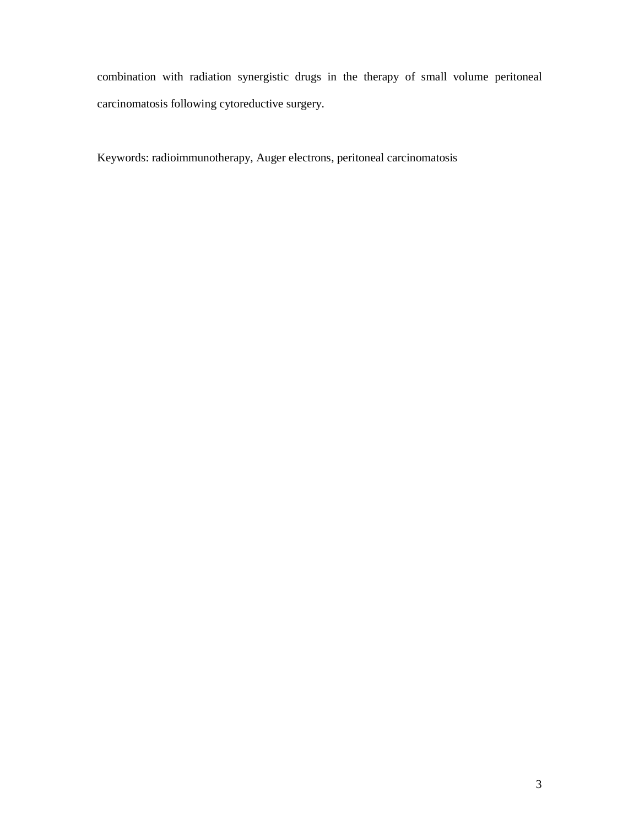combination with radiation synergistic drugs in the therapy of small volume peritoneal carcinomatosis following cytoreductive surgery.

Keywords: radioimmunotherapy, Auger electrons, peritoneal carcinomatosis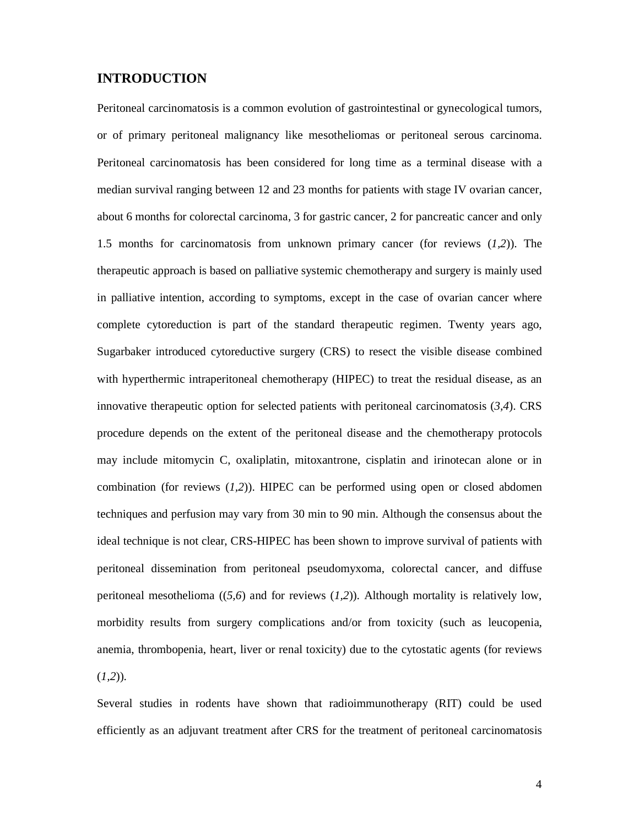# **INTRODUCTION**

Peritoneal carcinomatosis is a common evolution of gastrointestinal or gynecological tumors, or of primary peritoneal malignancy like mesotheliomas or peritoneal serous carcinoma. Peritoneal carcinomatosis has been considered for long time as a terminal disease with a median survival ranging between 12 and 23 months for patients with stage IV ovarian cancer, about 6 months for colorectal carcinoma, 3 for gastric cancer, 2 for pancreatic cancer and only 1.5 months for carcinomatosis from unknown primary cancer (for reviews (*1,2*)). The therapeutic approach is based on palliative systemic chemotherapy and surgery is mainly used in palliative intention, according to symptoms, except in the case of ovarian cancer where complete cytoreduction is part of the standard therapeutic regimen. Twenty years ago, Sugarbaker introduced cytoreductive surgery (CRS) to resect the visible disease combined with hyperthermic intraperitoneal chemotherapy (HIPEC) to treat the residual disease, as an innovative therapeutic option for selected patients with peritoneal carcinomatosis (*3,4*). CRS procedure depends on the extent of the peritoneal disease and the chemotherapy protocols may include mitomycin C, oxaliplatin, mitoxantrone, cisplatin and irinotecan alone or in combination (for reviews (*1,2*)). HIPEC can be performed using open or closed abdomen techniques and perfusion may vary from 30 min to 90 min. Although the consensus about the ideal technique is not clear, CRS-HIPEC has been shown to improve survival of patients with peritoneal dissemination from peritoneal pseudomyxoma, colorectal cancer, and diffuse peritoneal mesothelioma ((*5,6*) and for reviews (*1,2*)). Although mortality is relatively low, morbidity results from surgery complications and/or from toxicity (such as leucopenia, anemia, thrombopenia, heart, liver or renal toxicity) due to the cytostatic agents (for reviews (*1,2*)).

Several studies in rodents have shown that radioimmunotherapy (RIT) could be used efficiently as an adjuvant treatment after CRS for the treatment of peritoneal carcinomatosis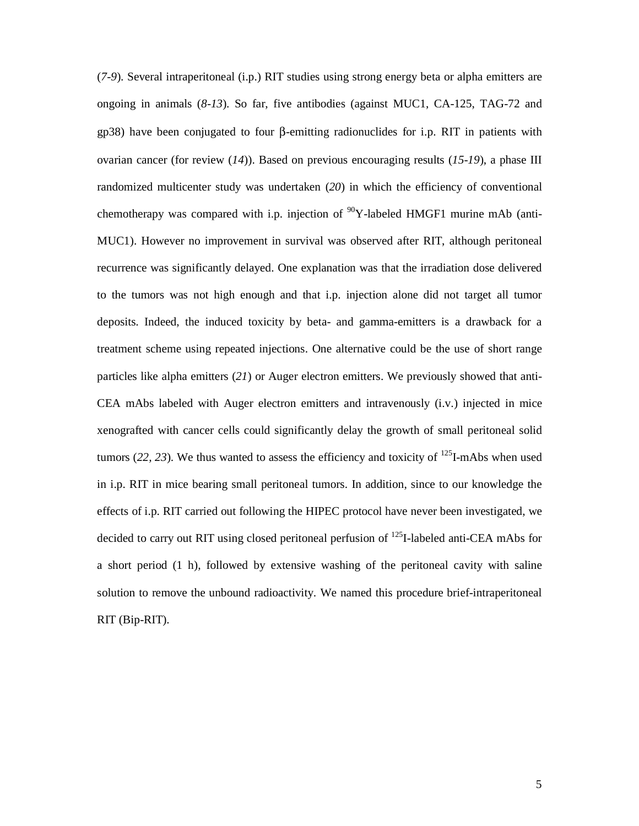(*7-9*). Several intraperitoneal (i.p.) RIT studies using strong energy beta or alpha emitters are ongoing in animals (*8-13*). So far, five antibodies (against MUC1, CA-125, TAG-72 and gp38) have been conjugated to four β-emitting radionuclides for i.p. RIT in patients with ovarian cancer (for review (*14*)). Based on previous encouraging results (*15-19*), a phase III randomized multicenter study was undertaken (*20*) in which the efficiency of conventional chemotherapy was compared with i.p. injection of  $\rm{^{90}Y}$ -labeled HMGF1 murine mAb (anti-MUC1). However no improvement in survival was observed after RIT, although peritoneal recurrence was significantly delayed. One explanation was that the irradiation dose delivered to the tumors was not high enough and that i.p. injection alone did not target all tumor deposits. Indeed, the induced toxicity by beta- and gamma-emitters is a drawback for a treatment scheme using repeated injections. One alternative could be the use of short range particles like alpha emitters (*21*) or Auger electron emitters. We previously showed that anti-CEA mAbs labeled with Auger electron emitters and intravenously (i.v.) injected in mice xenografted with cancer cells could significantly delay the growth of small peritoneal solid tumors (22, 23). We thus wanted to assess the efficiency and toxicity of  $^{125}$ I-mAbs when used in i.p. RIT in mice bearing small peritoneal tumors. In addition, since to our knowledge the effects of i.p. RIT carried out following the HIPEC protocol have never been investigated, we decided to carry out RIT using closed peritoneal perfusion of <sup>125</sup>I-labeled anti-CEA mAbs for a short period (1 h), followed by extensive washing of the peritoneal cavity with saline solution to remove the unbound radioactivity. We named this procedure brief-intraperitoneal RIT (Bip-RIT).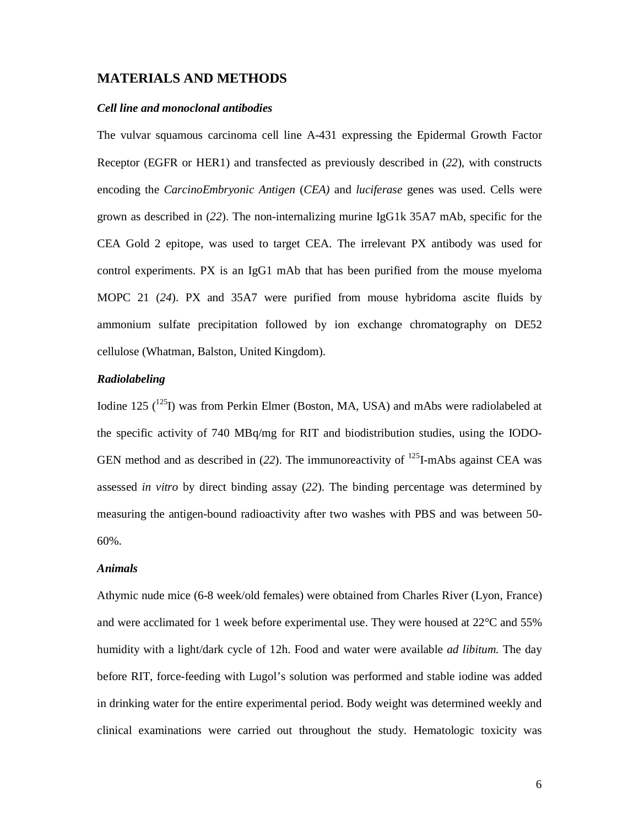## **MATERIALS AND METHODS**

## *Cell line and monoclonal antibodies*

The vulvar squamous carcinoma cell line A-431 expressing the Epidermal Growth Factor Receptor (EGFR or HER1) and transfected as previously described in (*22*)*,* with constructs encoding the *CarcinoEmbryonic Antigen* (*CEA)* and *luciferase* genes was used. Cells were grown as described in (*22*). The non-internalizing murine IgG1k 35A7 mAb, specific for the CEA Gold 2 epitope, was used to target CEA. The irrelevant PX antibody was used for control experiments. PX is an IgG1 mAb that has been purified from the mouse myeloma MOPC 21 (*24*). PX and 35A7 were purified from mouse hybridoma ascite fluids by ammonium sulfate precipitation followed by ion exchange chromatography on DE52 cellulose (Whatman, Balston, United Kingdom).

# *Radiolabeling*

Iodine 125  $(^{125}I)$  was from Perkin Elmer (Boston, MA, USA) and mAbs were radiolabeled at the specific activity of 740 MBq/mg for RIT and biodistribution studies, using the IODO-GEN method and as described in  $(22)$ . The immunoreactivity of  $^{125}$ I-mAbs against CEA was assessed *in vitro* by direct binding assay (*22*). The binding percentage was determined by measuring the antigen-bound radioactivity after two washes with PBS and was between 50- 60%.

## *Animals*

Athymic nude mice (6-8 week/old females) were obtained from Charles River (Lyon, France) and were acclimated for 1 week before experimental use. They were housed at 22°C and 55% humidity with a light/dark cycle of 12h. Food and water were available *ad libitum.* The day before RIT, force-feeding with Lugol's solution was performed and stable iodine was added in drinking water for the entire experimental period. Body weight was determined weekly and clinical examinations were carried out throughout the study. Hematologic toxicity was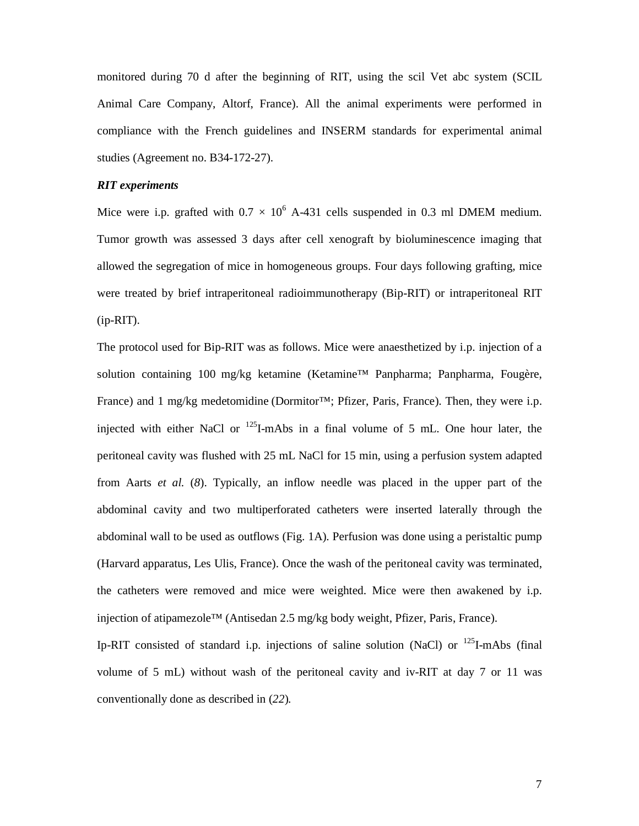monitored during 70 d after the beginning of RIT, using the scil Vet abc system (SCIL Animal Care Company, Altorf, France). All the animal experiments were performed in compliance with the French guidelines and INSERM standards for experimental animal studies (Agreement no. B34-172-27).

# *RIT experiments*

Mice were i.p. grafted with  $0.7 \times 10^6$  A-431 cells suspended in 0.3 ml DMEM medium. Tumor growth was assessed 3 days after cell xenograft by bioluminescence imaging that allowed the segregation of mice in homogeneous groups. Four days following grafting, mice were treated by brief intraperitoneal radioimmunotherapy (Bip-RIT) or intraperitoneal RIT (ip-RIT).

The protocol used for Bip-RIT was as follows. Mice were anaesthetized by i.p. injection of a solution containing 100 mg/kg ketamine (Ketamine™ Panpharma; Panpharma, Fougère, France) and 1 mg/kg medetomidine (Dormitor™; Pfizer, Paris, France). Then, they were i.p. injected with either NaCl or  $^{125}$ I-mAbs in a final volume of 5 mL. One hour later, the peritoneal cavity was flushed with 25 mL NaCl for 15 min, using a perfusion system adapted from Aarts *et al.* (*8*). Typically, an inflow needle was placed in the upper part of the abdominal cavity and two multiperforated catheters were inserted laterally through the abdominal wall to be used as outflows (Fig. 1A). Perfusion was done using a peristaltic pump (Harvard apparatus, Les Ulis, France). Once the wash of the peritoneal cavity was terminated, the catheters were removed and mice were weighted. Mice were then awakened by i.p. injection of atipamezole™ (Antisedan 2.5 mg/kg body weight, Pfizer, Paris, France).

Ip-RIT consisted of standard i.p. injections of saline solution (NaCl) or  $^{125}$ I-mAbs (final volume of 5 mL) without wash of the peritoneal cavity and iv-RIT at day 7 or 11 was conventionally done as described in (*22*)*.*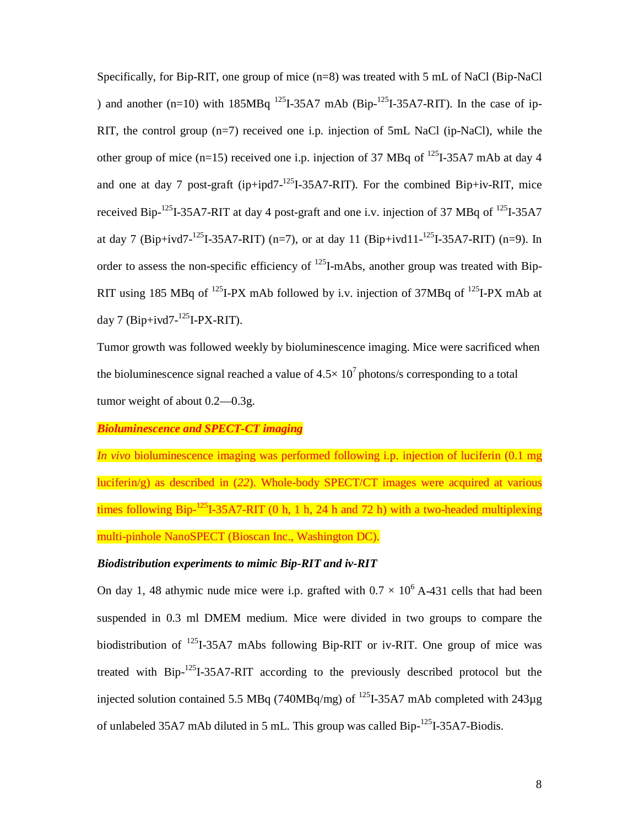Specifically, for Bip-RIT, one group of mice (n=8) was treated with 5 mL of NaCl (Bip-NaCl ) and another (n=10) with  $185MBq$  <sup>125</sup>I-35A7 mAb (Bip-<sup>125</sup>I-35A7-RIT). In the case of ip-RIT, the control group (n=7) received one i.p. injection of 5mL NaCl (ip-NaCl), while the other group of mice (n=15) received one i.p. injection of 37 MBq of  $^{125}I-35A7$  mAb at day 4 and one at day 7 post-graft (ip+ipd7- $^{125}I-35A7-RIT$ ). For the combined Bip+iv-RIT, mice received Bip-<sup>125</sup>I-35A7-RIT at day 4 post-graft and one i.v. injection of 37 MBq of <sup>125</sup>I-35A7 at day 7 (Bip+ivd7-<sup>125</sup>I-35A7-RIT) (n=7), or at day 11 (Bip+ivd11-<sup>125</sup>I-35A7-RIT) (n=9). In order to assess the non-specific efficiency of  $^{125}$ I-mAbs, another group was treated with Bip-RIT using 185 MBq of  $^{125}I-PX$  mAb followed by i.v. injection of 37MBq of  $^{125}I-PX$  mAb at day 7 (Bip+ivd7- $125$ I-PX-RIT).

Tumor growth was followed weekly by bioluminescence imaging. Mice were sacrificed when the bioluminescence signal reached a value of  $4.5 \times 10^7$  photons/s corresponding to a total tumor weight of about 0.2—0.3g.

*Bioluminescence and SPECT-CT imaging* 

*In vivo* bioluminescence imaging was performed following i.p. injection of luciferin (0.1 mg luciferin/g) as described in (*22*). Whole-body SPECT/CT images were acquired at various times following Bip-<sup>125</sup>I-35A7-RIT (0 h, 1 h, 24 h and 72 h) with a two-headed multiplexing multi-pinhole NanoSPECT (Bioscan Inc., Washington DC).

# *Biodistribution experiments to mimic Bip-RIT and iv-RIT*

On day 1, 48 athymic nude mice were i.p. grafted with  $0.7 \times 10^6$  A-431 cells that had been suspended in 0.3 ml DMEM medium. Mice were divided in two groups to compare the biodistribution of 125I-35A7 mAbs following Bip-RIT or iv-RIT. One group of mice was treated with Bip-125I-35A7-RIT according to the previously described protocol but the injected solution contained 5.5 MBq (740MBq/mg) of  $^{125}$ I-35A7 mAb completed with 243 $\mu$ g of unlabeled 35A7 mAb diluted in 5 mL. This group was called Bip- $^{125}I$ -35A7-Biodis.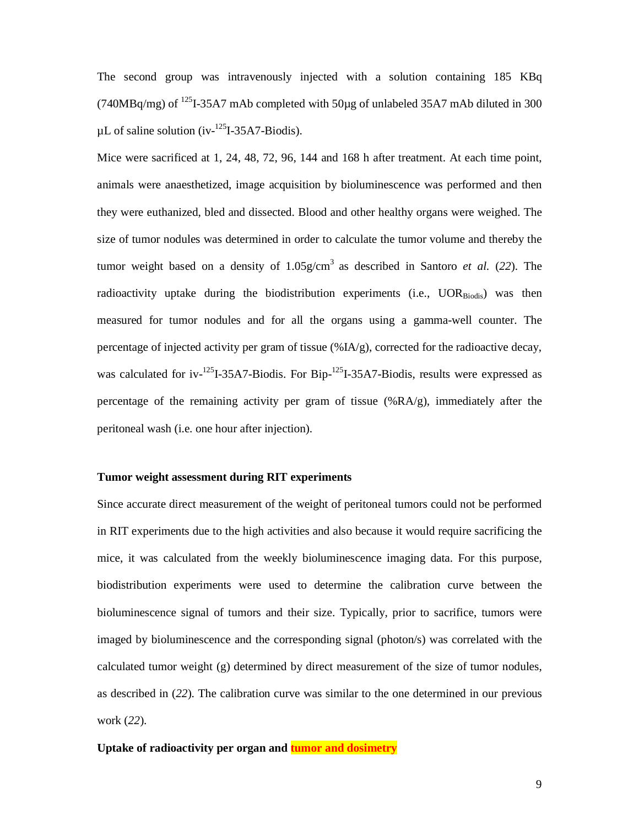The second group was intravenously injected with a solution containing 185 KBq (740MBq/mg) of  $^{125}$ I-35A7 mAb completed with 50 $\mu$ g of unlabeled 35A7 mAb diluted in 300  $\mu$ L of saline solution (iv-<sup>125</sup>I-35A7-Biodis).

Mice were sacrificed at 1, 24, 48, 72, 96, 144 and 168 h after treatment. At each time point, animals were anaesthetized, image acquisition by bioluminescence was performed and then they were euthanized, bled and dissected. Blood and other healthy organs were weighed. The size of tumor nodules was determined in order to calculate the tumor volume and thereby the tumor weight based on a density of  $1.05$  g/cm<sup>3</sup> as described in Santoro *et al.* (22). The radioactivity uptake during the biodistribution experiments (i.e.,  $UOR_{Biodis}$ ) was then measured for tumor nodules and for all the organs using a gamma-well counter. The percentage of injected activity per gram of tissue (%IA/g), corrected for the radioactive decay, was calculated for iv- $^{125}$ I-35A7-Biodis. For Bip- $^{125}$ I-35A7-Biodis, results were expressed as percentage of the remaining activity per gram of tissue (%RA/g), immediately after the peritoneal wash (i.e. one hour after injection).

# **Tumor weight assessment during RIT experiments**

Since accurate direct measurement of the weight of peritoneal tumors could not be performed in RIT experiments due to the high activities and also because it would require sacrificing the mice, it was calculated from the weekly bioluminescence imaging data. For this purpose, biodistribution experiments were used to determine the calibration curve between the bioluminescence signal of tumors and their size. Typically, prior to sacrifice, tumors were imaged by bioluminescence and the corresponding signal (photon/s) was correlated with the calculated tumor weight (g) determined by direct measurement of the size of tumor nodules, as described in (*22*). The calibration curve was similar to the one determined in our previous work (*22*).

## **Uptake of radioactivity per organ and tumor and dosimetry**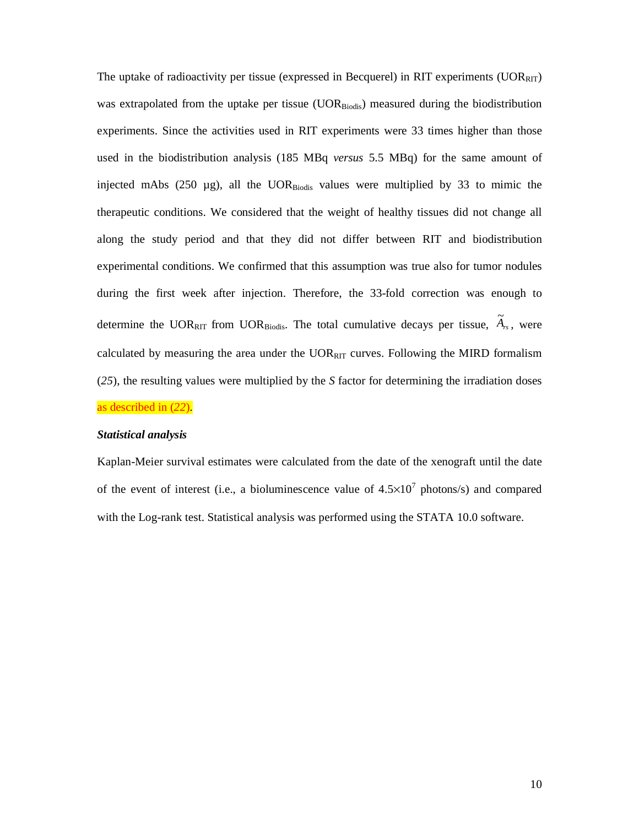The uptake of radioactivity per tissue (expressed in Becquerel) in RIT experiments  $(UOR_{RIT})$ was extrapolated from the uptake per tissue  $(UOR_{Biodis})$  measured during the biodistribution experiments. Since the activities used in RIT experiments were 33 times higher than those used in the biodistribution analysis (185 MBq *versus* 5.5 MBq) for the same amount of injected mAbs (250  $\mu$ g), all the UOR $_{\text{Biodis}}$  values were multiplied by 33 to mimic the therapeutic conditions. We considered that the weight of healthy tissues did not change all along the study period and that they did not differ between RIT and biodistribution experimental conditions. We confirmed that this assumption was true also for tumor nodules during the first week after injection. Therefore, the 33-fold correction was enough to determine the UOR<sub>RIT</sub> from UOR<sub>Biodis</sub>. The total cumulative decays per tissue,  $\widetilde{A}_{rs}$ , were calculated by measuring the area under the  $UOR_{\text{RIT}}$  curves. Following the MIRD formalism (*25*), the resulting values were multiplied by the *S* factor for determining the irradiation doses as described in (*22*).

#### *Statistical analysis*

Kaplan-Meier survival estimates were calculated from the date of the xenograft until the date of the event of interest (i.e., a bioluminescence value of  $4.5 \times 10^7$  photons/s) and compared with the Log-rank test. Statistical analysis was performed using the STATA 10.0 software.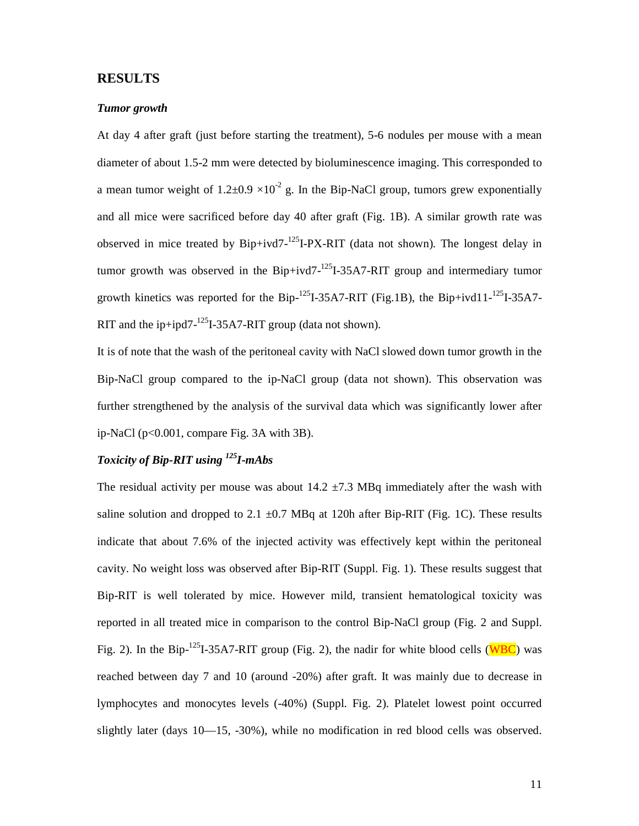# **RESULTS**

# *Tumor growth*

At day 4 after graft (just before starting the treatment), 5-6 nodules per mouse with a mean diameter of about 1.5-2 mm were detected by bioluminescence imaging. This corresponded to a mean tumor weight of  $1.2\pm 0.9 \times 10^{-2}$  g. In the Bip-NaCl group, tumors grew exponentially and all mice were sacrificed before day 40 after graft (Fig. 1B). A similar growth rate was observed in mice treated by  $Bip+ivd7$ <sup>-125</sup>I-PX-RIT (data not shown). The longest delay in tumor growth was observed in the Bip+ivd7- $^{125}I$ -35A7-RIT group and intermediary tumor growth kinetics was reported for the Bip- $^{125}$ I-35A7-RIT (Fig.1B), the Bip+ivd11- $^{125}$ I-35A7-RIT and the ip+ipd7- $^{125}I$ -35A7-RIT group (data not shown).

It is of note that the wash of the peritoneal cavity with NaCl slowed down tumor growth in the Bip-NaCl group compared to the ip-NaCl group (data not shown). This observation was further strengthened by the analysis of the survival data which was significantly lower after ip-NaCl (p<0.001, compare Fig. 3A with 3B).

# *Toxicity of Bip-RIT using 125I-mAbs*

The residual activity per mouse was about  $14.2 \pm 7.3$  MBq immediately after the wash with saline solution and dropped to 2.1  $\pm$ 0.7 MBq at 120h after Bip-RIT (Fig. 1C). These results indicate that about 7.6% of the injected activity was effectively kept within the peritoneal cavity. No weight loss was observed after Bip-RIT (Suppl. Fig. 1). These results suggest that Bip-RIT is well tolerated by mice. However mild, transient hematological toxicity was reported in all treated mice in comparison to the control Bip-NaCl group (Fig. 2 and Suppl. Fig. 2). In the Bip-<sup>125</sup>I-35A7-RIT group (Fig. 2), the nadir for white blood cells (WBC) was reached between day 7 and 10 (around -20%) after graft. It was mainly due to decrease in lymphocytes and monocytes levels (-40%) (Suppl. Fig. 2). Platelet lowest point occurred slightly later (days 10—15, -30%), while no modification in red blood cells was observed.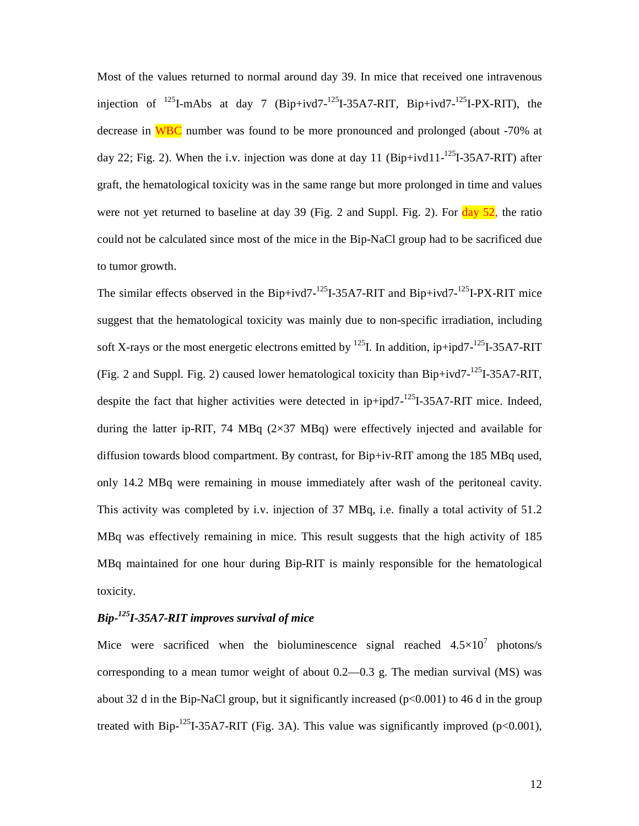Most of the values returned to normal around day 39. In mice that received one intravenous injection of  $^{125}$ I-mAbs at day 7 (Bip+ivd7- $^{125}$ I-35A7-RIT, Bip+ivd7- $^{125}$ I-PX-RIT), the decrease in WBC number was found to be more pronounced and prolonged (about -70% at day 22; Fig. 2). When the i.v. injection was done at day 11 (Bip+ivd11-<sup>125</sup>I-35A7-RIT) after graft, the hematological toxicity was in the same range but more prolonged in time and values were not yet returned to baseline at day 39 (Fig. 2 and Suppl. Fig. 2). For  $\frac{day}{2}$ , the ratio could not be calculated since most of the mice in the Bip-NaCl group had to be sacrificed due to tumor growth.

The similar effects observed in the Bip+ivd7- $^{125}$ I-35A7-RIT and Bip+ivd7- $^{125}$ I-PX-RIT mice suggest that the hematological toxicity was mainly due to non-specific irradiation, including soft X-rays or the most energetic electrons emitted by <sup>125</sup>I. In addition, ip+ipd7-<sup>125</sup>I-35A7-RIT (Fig. 2 and Suppl. Fig. 2) caused lower hematological toxicity than  $Bip+ivd7<sup>-125</sup>I-35A7-RIT$ , despite the fact that higher activities were detected in ip+ipd7-<sup>125</sup>I-35A7-RIT mice. Indeed, during the latter ip-RIT, 74 MBq  $(2\times37 \text{ MBq})$  were effectively injected and available for diffusion towards blood compartment. By contrast, for Bip+iv-RIT among the 185 MBq used, only 14.2 MBq were remaining in mouse immediately after wash of the peritoneal cavity. This activity was completed by i.v. injection of 37 MBq, i.e. finally a total activity of 51.2 MBq was effectively remaining in mice. This result suggests that the high activity of 185 MBq maintained for one hour during Bip-RIT is mainly responsible for the hematological toxicity.

# *Bip-125I-35A7-RIT improves survival of mice*

Mice were sacrificed when the bioluminescence signal reached  $4.5 \times 10^7$  photons/s corresponding to a mean tumor weight of about 0.2—0.3 g. The median survival (MS) was about 32 d in the Bip-NaCl group, but it significantly increased  $(p<0.001)$  to 46 d in the group treated with Bip-<sup>125</sup>I-35A7-RIT (Fig. 3A). This value was significantly improved ( $p<0.001$ ),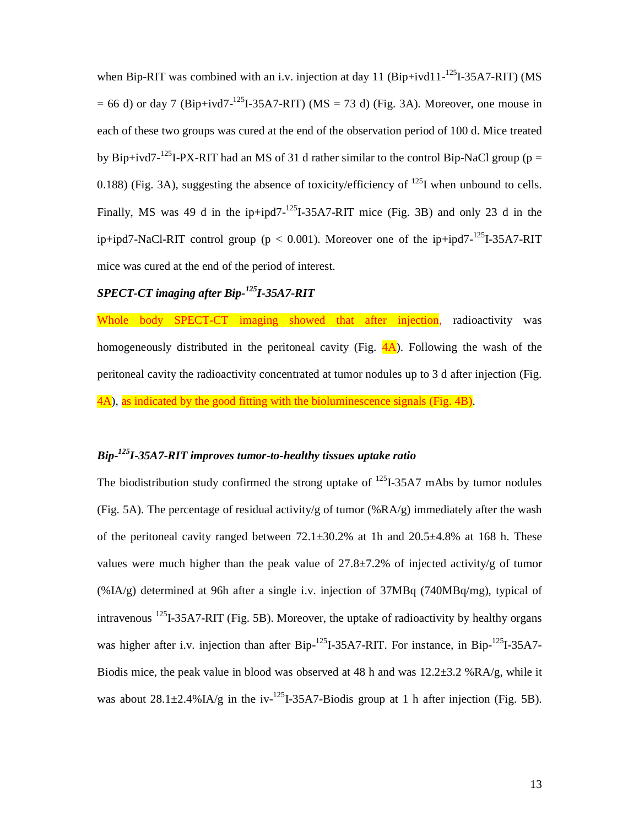when Bip-RIT was combined with an i.v. injection at day 11 (Bip+ivd11-<sup>125</sup>I-35A7-RIT) (MS  $= 66$  d) or day 7 (Bip+ivd7-<sup>125</sup>I-35A7-RIT) (MS = 73 d) (Fig. 3A). Moreover, one mouse in each of these two groups was cured at the end of the observation period of 100 d. Mice treated by Bip+ivd7-<sup>125</sup>I-PX-RIT had an MS of 31 d rather similar to the control Bip-NaCl group (p = 0.188) (Fig. 3A), suggesting the absence of toxicity/efficiency of  $^{125}I$  when unbound to cells. Finally, MS was 49 d in the ip+ipd7- $^{125}I-35A7-RIT$  mice (Fig. 3B) and only 23 d in the ip+ipd7-NaCl-RIT control group ( $p < 0.001$ ). Moreover one of the ip+ipd7-<sup>125</sup>I-35A7-RIT mice was cured at the end of the period of interest.

# *SPECT-CT imaging after Bip-125I-35A7-RIT*

Whole body SPECT-CT imaging showed that after injection, radioactivity was homogeneously distributed in the peritoneal cavity (Fig.  $\overline{4A}$ ). Following the wash of the peritoneal cavity the radioactivity concentrated at tumor nodules up to 3 d after injection (Fig. 4A), as indicated by the good fitting with the bioluminescence signals (Fig. 4B).

# *Bip-125I-35A7-RIT improves tumor-to-healthy tissues uptake ratio*

The biodistribution study confirmed the strong uptake of  $^{125}I-35A7$  mAbs by tumor nodules (Fig. 5A). The percentage of residual activity/g of tumor (% $RA/g$ ) immediately after the wash of the peritoneal cavity ranged between  $72.1\pm30.2\%$  at 1h and  $20.5\pm4.8\%$  at 168 h. These values were much higher than the peak value of  $27.8\pm7.2\%$  of injected activity/g of tumor (%IA/g) determined at 96h after a single i.v. injection of 37MBq (740MBq/mg), typical of intravenous <sup>125</sup>I-35A7-RIT (Fig. 5B). Moreover, the uptake of radioactivity by healthy organs was higher after i.v. injection than after Bip-<sup>125</sup>I-35A7-RIT. For instance, in Bip-<sup>125</sup>I-35A7-Biodis mice, the peak value in blood was observed at 48 h and was  $12.2\pm3.2$  %RA/g, while it was about  $28.1\pm2.4\%$  IA/g in the iv-<sup>125</sup>I-35A7-Biodis group at 1 h after injection (Fig. 5B).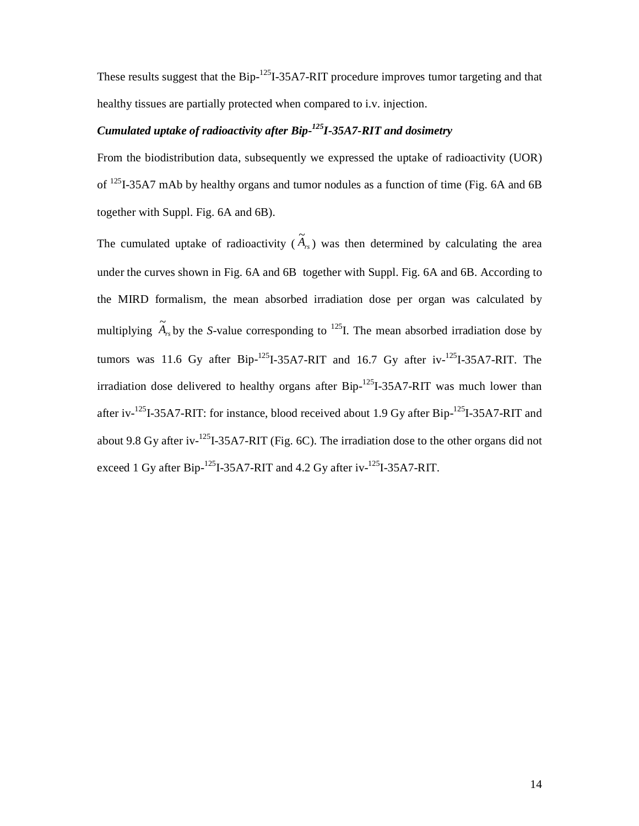These results suggest that the Bip-<sup>125</sup>I-35A7-RIT procedure improves tumor targeting and that healthy tissues are partially protected when compared to i.v. injection.

# *Cumulated uptake of radioactivity after Bip-125I-35A7-RIT and dosimetry*

From the biodistribution data, subsequently we expressed the uptake of radioactivity (UOR) of 125I-35A7 mAb by healthy organs and tumor nodules as a function of time (Fig. 6A and 6B together with Suppl. Fig. 6A and 6B).

The cumulated uptake of radioactivity  $(\widetilde{A}_{rs})$  was then determined by calculating the area under the curves shown in Fig. 6A and 6B together with Suppl. Fig. 6A and 6B. According to the MIRD formalism, the mean absorbed irradiation dose per organ was calculated by multiplying  $\widetilde{A}_{rs}$  by the *S*-value corresponding to <sup>125</sup>I. The mean absorbed irradiation dose by tumors was 11.6 Gy after Bip- $^{125}$ I-35A7-RIT and 16.7 Gy after iv- $^{125}$ I-35A7-RIT. The irradiation dose delivered to healthy organs after  $Bip<sup>-125</sup>I-35A7-RIT$  was much lower than after iv- $^{125}$ I-35A7-RIT: for instance, blood received about 1.9 Gy after Bip- $^{125}$ I-35A7-RIT and about 9.8 Gy after iv-125I-35A7-RIT (Fig. 6C). The irradiation dose to the other organs did not exceed 1 Gy after Bip- $^{125}$ I-35A7-RIT and 4.2 Gy after iv- $^{125}$ I-35A7-RIT.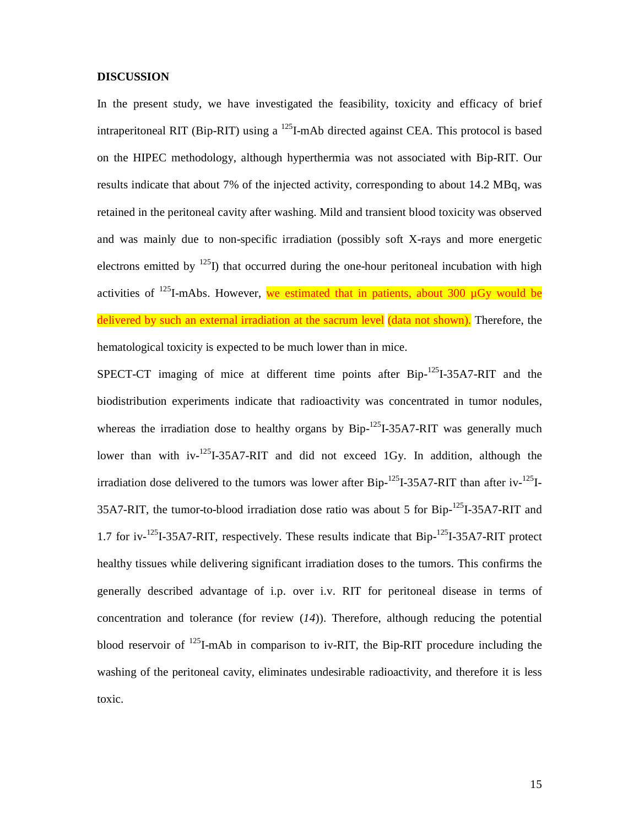#### **DISCUSSION**

In the present study, we have investigated the feasibility, toxicity and efficacy of brief intraperitoneal RIT (Bip-RIT) using a <sup>125</sup>I-mAb directed against CEA. This protocol is based on the HIPEC methodology, although hyperthermia was not associated with Bip-RIT. Our results indicate that about 7% of the injected activity, corresponding to about 14.2 MBq, was retained in the peritoneal cavity after washing. Mild and transient blood toxicity was observed and was mainly due to non-specific irradiation (possibly soft X-rays and more energetic electrons emitted by  $^{125}$ I) that occurred during the one-hour peritoneal incubation with high activities of  $^{125}$ I-mAbs. However, we estimated that in patients, about 300  $\mu$ Gy would be delivered by such an external irradiation at the sacrum level (data not shown). Therefore, the hematological toxicity is expected to be much lower than in mice.

SPECT-CT imaging of mice at different time points after  $\text{Bip}$ <sup>125</sup>I-35A7-RIT and the biodistribution experiments indicate that radioactivity was concentrated in tumor nodules, whereas the irradiation dose to healthy organs by  $Bip$ <sup>-125</sup>I-35A7-RIT was generally much lower than with  $iv^{-125}I-35A7-RIT$  and did not exceed 1Gy. In addition, although the irradiation dose delivered to the tumors was lower after  $Bip$ <sup>-125</sup>I-35A7-RIT than after iv-<sup>125</sup>I-35A7-RIT, the tumor-to-blood irradiation dose ratio was about 5 for Bip-<sup>125</sup>I-35A7-RIT and 1.7 for iv- $125I-35A7-RIT$ , respectively. These results indicate that Bip- $125I-35A7-RIT$  protect healthy tissues while delivering significant irradiation doses to the tumors. This confirms the generally described advantage of i.p. over i.v. RIT for peritoneal disease in terms of concentration and tolerance (for review (*14*)). Therefore, although reducing the potential blood reservoir of  $^{125}$ I-mAb in comparison to iv-RIT, the Bip-RIT procedure including the washing of the peritoneal cavity, eliminates undesirable radioactivity, and therefore it is less toxic.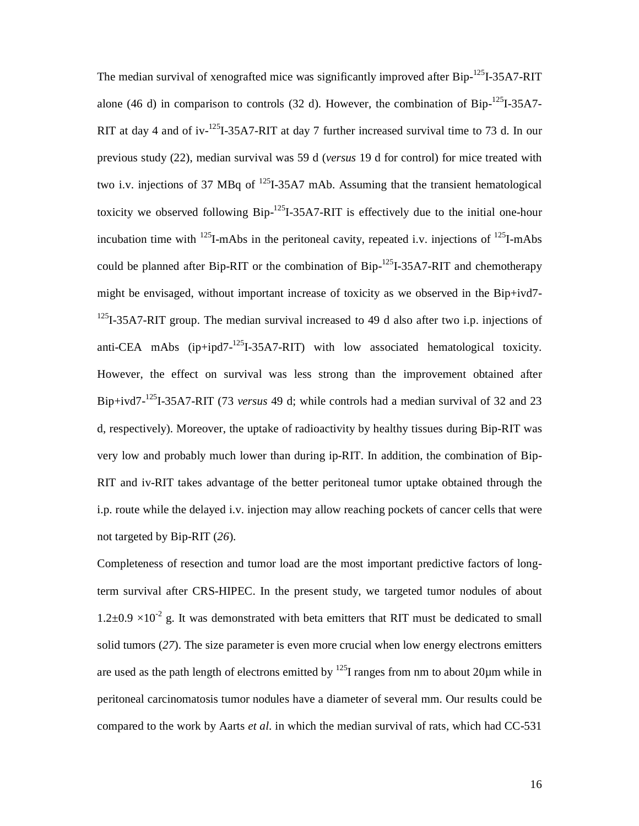The median survival of xenografted mice was significantly improved after Bip-<sup>125</sup>I-35A7-RIT alone (46 d) in comparison to controls (32 d). However, the combination of  $Bip<sup>-125</sup>I-35A7-$ RIT at day 4 and of iv- $^{125}I$ -35A7-RIT at day 7 further increased survival time to 73 d. In our previous study (22), median survival was 59 d (*versus* 19 d for control) for mice treated with two i.v. injections of 37 MBq of  $^{125}I-35A7$  mAb. Assuming that the transient hematological toxicity we observed following  $Bip<sup>-125</sup>I-35A7-RIT$  is effectively due to the initial one-hour incubation time with <sup>125</sup>I-mAbs in the peritoneal cavity, repeated i.v. injections of <sup>125</sup>I-mAbs could be planned after Bip-RIT or the combination of  $Bip$ <sup>-125</sup>I-35A7-RIT and chemotherapy might be envisaged, without important increase of toxicity as we observed in the Bip+ivd7-  $125$ I-35A7-RIT group. The median survival increased to 49 d also after two i.p. injections of anti-CEA mAbs  $(ip+ipd7^{-125}I-35A7-RTT)$  with low associated hematological toxicity. However, the effect on survival was less strong than the improvement obtained after Bip+ivd7-125I-35A7-RIT (73 *versus* 49 d; while controls had a median survival of 32 and 23 d, respectively). Moreover, the uptake of radioactivity by healthy tissues during Bip-RIT was very low and probably much lower than during ip-RIT. In addition, the combination of Bip-RIT and iv-RIT takes advantage of the better peritoneal tumor uptake obtained through the i.p. route while the delayed i.v. injection may allow reaching pockets of cancer cells that were not targeted by Bip-RIT (*26*).

Completeness of resection and tumor load are the most important predictive factors of longterm survival after CRS-HIPEC. In the present study, we targeted tumor nodules of about  $1.2\pm0.9 \times 10^{-2}$  g. It was demonstrated with beta emitters that RIT must be dedicated to small solid tumors (*27*). The size parameter is even more crucial when low energy electrons emitters are used as the path length of electrons emitted by  $^{125}$  ranges from nm to about 20 $\mu$ m while in peritoneal carcinomatosis tumor nodules have a diameter of several mm. Our results could be compared to the work by Aarts *et al.* in which the median survival of rats, which had CC-531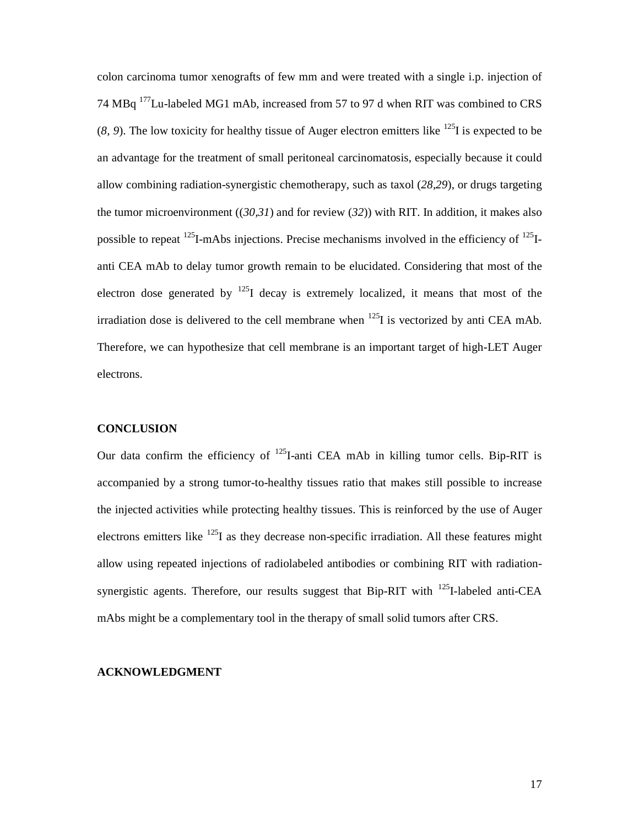colon carcinoma tumor xenografts of few mm and were treated with a single i.p. injection of 74 MBq 177Lu-labeled MG1 mAb, increased from 57 to 97 d when RIT was combined to CRS  $(8, 9)$ . The low toxicity for healthy tissue of Auger electron emitters like <sup>125</sup>I is expected to be an advantage for the treatment of small peritoneal carcinomatosis, especially because it could allow combining radiation-synergistic chemotherapy, such as taxol (*28,29*), or drugs targeting the tumor microenvironment ((*30,31*) and for review (*32*)) with RIT. In addition, it makes also possible to repeat  $^{125}$ I-mAbs injections. Precise mechanisms involved in the efficiency of  $^{125}$ Ianti CEA mAb to delay tumor growth remain to be elucidated. Considering that most of the electron dose generated by  $^{125}$ I decay is extremely localized, it means that most of the irradiation dose is delivered to the cell membrane when  $^{125}I$  is vectorized by anti CEA mAb. Therefore, we can hypothesize that cell membrane is an important target of high-LET Auger electrons.

#### **CONCLUSION**

Our data confirm the efficiency of  $^{125}$ I-anti CEA mAb in killing tumor cells. Bip-RIT is accompanied by a strong tumor-to-healthy tissues ratio that makes still possible to increase the injected activities while protecting healthy tissues. This is reinforced by the use of Auger electrons emitters like 125I as they decrease non-specific irradiation. All these features might allow using repeated injections of radiolabeled antibodies or combining RIT with radiationsynergistic agents. Therefore, our results suggest that Bip-RIT with  $^{125}$ I-labeled anti-CEA mAbs might be a complementary tool in the therapy of small solid tumors after CRS.

## **ACKNOWLEDGMENT**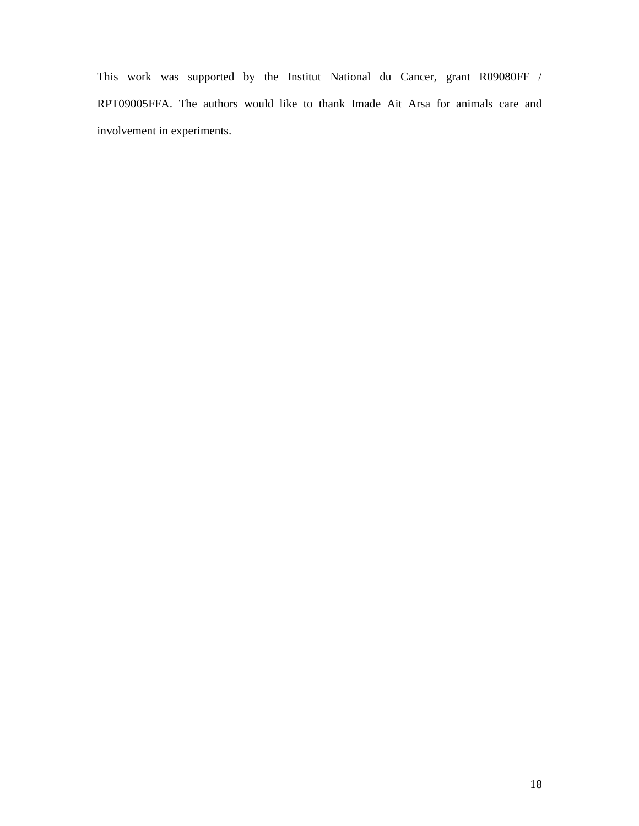This work was supported by the Institut National du Cancer, grant R09080FF / RPT09005FFA. The authors would like to thank Imade Ait Arsa for animals care and involvement in experiments.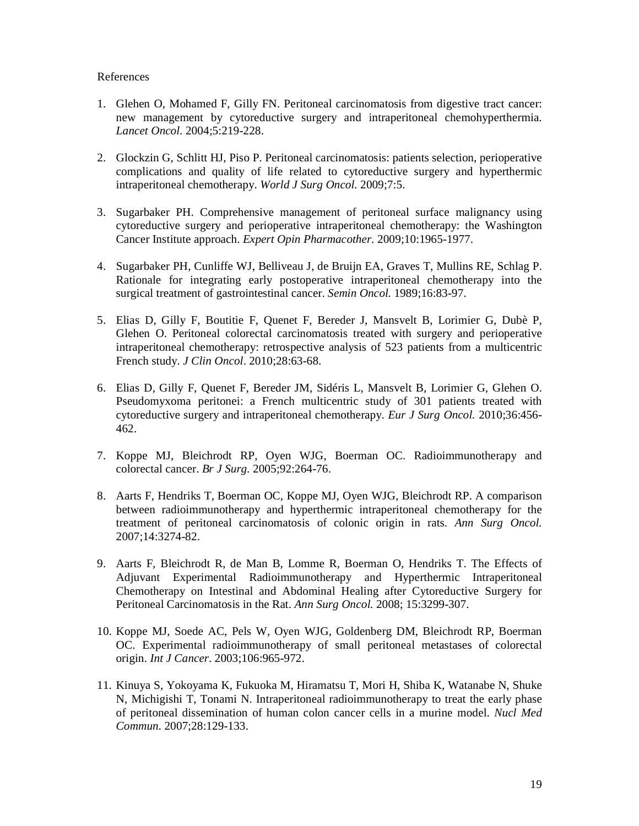## References

- 1. Glehen O, Mohamed F, Gilly FN. Peritoneal carcinomatosis from digestive tract cancer: new management by cytoreductive surgery and intraperitoneal chemohyperthermia. *Lancet Oncol.* 2004;5:219-228.
- 2. Glockzin G, Schlitt HJ, Piso P. Peritoneal carcinomatosis: patients selection, perioperative complications and quality of life related to cytoreductive surgery and hyperthermic intraperitoneal chemotherapy. *World J Surg Oncol.* 2009;7:5.
- 3. Sugarbaker PH. Comprehensive management of peritoneal surface malignancy using cytoreductive surgery and perioperative intraperitoneal chemotherapy: the Washington Cancer Institute approach. *Expert Opin Pharmacother.* 2009;10:1965-1977.
- 4. Sugarbaker PH, Cunliffe WJ, Belliveau J, de Bruijn EA, Graves T, Mullins RE, Schlag P. Rationale for integrating early postoperative intraperitoneal chemotherapy into the surgical treatment of gastrointestinal cancer. *Semin Oncol.* 1989;16:83-97.
- 5. Elias D, Gilly F, Boutitie F, Quenet F, Bereder J, Mansvelt B, Lorimier G, Dubè P, Glehen O. Peritoneal colorectal carcinomatosis treated with surgery and perioperative intraperitoneal chemotherapy: retrospective analysis of 523 patients from a multicentric French study. *J Clin Oncol*. 2010;28:63-68.
- 6. Elias D, Gilly F, Quenet F, Bereder JM, Sidéris L, Mansvelt B, Lorimier G, Glehen O. Pseudomyxoma peritonei: a French multicentric study of 301 patients treated with cytoreductive surgery and intraperitoneal chemotherapy. *Eur J Surg Oncol.* 2010;36:456- 462.
- 7. Koppe MJ, Bleichrodt RP, Oyen WJG, Boerman OC. Radioimmunotherapy and colorectal cancer. *Br J Surg.* 2005;92:264-76.
- 8. Aarts F, Hendriks T, Boerman OC, Koppe MJ, Oyen WJG, Bleichrodt RP. A comparison between radioimmunotherapy and hyperthermic intraperitoneal chemotherapy for the treatment of peritoneal carcinomatosis of colonic origin in rats. *Ann Surg Oncol.* 2007;14:3274-82.
- 9. Aarts F, Bleichrodt R, de Man B, Lomme R, Boerman O, Hendriks T. The Effects of Adjuvant Experimental Radioimmunotherapy and Hyperthermic Intraperitoneal Chemotherapy on Intestinal and Abdominal Healing after Cytoreductive Surgery for Peritoneal Carcinomatosis in the Rat. *Ann Surg Oncol.* 2008; 15:3299-307.
- 10. Koppe MJ, Soede AC, Pels W, Oyen WJG, Goldenberg DM, Bleichrodt RP, Boerman OC. Experimental radioimmunotherapy of small peritoneal metastases of colorectal origin. *Int J Cancer*. 2003;106:965-972.
- 11. Kinuya S, Yokoyama K, Fukuoka M, Hiramatsu T, Mori H, Shiba K, Watanabe N, Shuke N, Michigishi T, Tonami N. Intraperitoneal radioimmunotherapy to treat the early phase of peritoneal dissemination of human colon cancer cells in a murine model. *Nucl Med Commun.* 2007;28:129-133.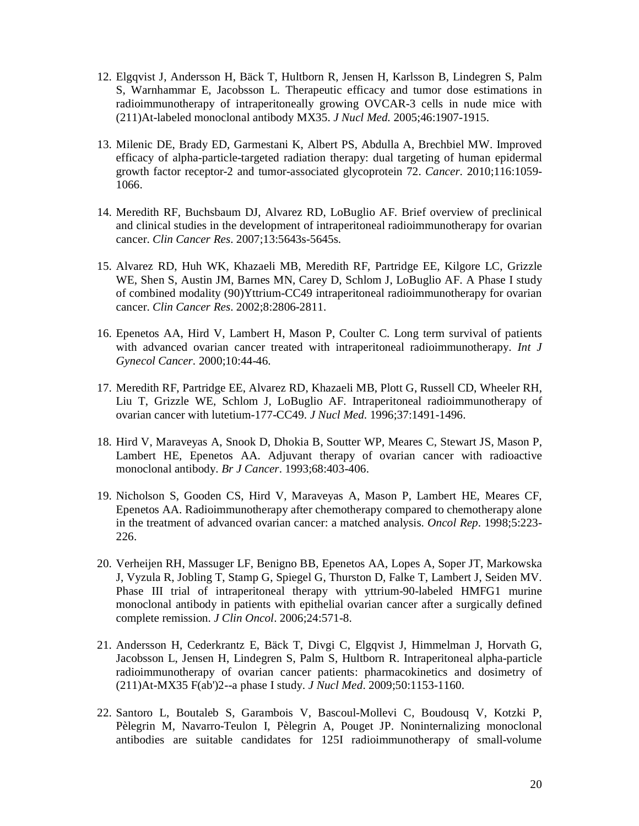- 12. Elgqvist J, Andersson H, Bäck T, Hultborn R, Jensen H, Karlsson B, Lindegren S, Palm S, Warnhammar E, Jacobsson L. Therapeutic efficacy and tumor dose estimations in radioimmunotherapy of intraperitoneally growing OVCAR-3 cells in nude mice with (211)At-labeled monoclonal antibody MX35. *J Nucl Med.* 2005;46:1907-1915.
- 13. Milenic DE, Brady ED, Garmestani K, Albert PS, Abdulla A, Brechbiel MW. Improved efficacy of alpha-particle-targeted radiation therapy: dual targeting of human epidermal growth factor receptor-2 and tumor-associated glycoprotein 72. *Cancer.* 2010;116:1059- 1066.
- 14. Meredith RF, Buchsbaum DJ, Alvarez RD, LoBuglio AF. Brief overview of preclinical and clinical studies in the development of intraperitoneal radioimmunotherapy for ovarian cancer. *Clin Cancer Res*. 2007;13:5643s-5645s.
- 15. Alvarez RD, Huh WK, Khazaeli MB, Meredith RF, Partridge EE, Kilgore LC, Grizzle WE, Shen S, Austin JM, Barnes MN, Carey D, Schlom J, LoBuglio AF. A Phase I study of combined modality (90)Yttrium-CC49 intraperitoneal radioimmunotherapy for ovarian cancer. *Clin Cancer Res*. 2002;8:2806-2811.
- 16. Epenetos AA, Hird V, Lambert H, Mason P, Coulter C. Long term survival of patients with advanced ovarian cancer treated with intraperitoneal radioimmunotherapy. *Int J Gynecol Cancer.* 2000;10:44-46.
- 17. Meredith RF, Partridge EE, Alvarez RD, Khazaeli MB, Plott G, Russell CD, Wheeler RH, Liu T, Grizzle WE, Schlom J, LoBuglio AF. Intraperitoneal radioimmunotherapy of ovarian cancer with lutetium-177-CC49. *J Nucl Med.* 1996;37:1491-1496.
- 18. Hird V, Maraveyas A, Snook D, Dhokia B, Soutter WP, Meares C, Stewart JS, Mason P, Lambert HE, Epenetos AA. Adjuvant therapy of ovarian cancer with radioactive monoclonal antibody. *Br J Cancer*. 1993;68:403-406.
- 19. Nicholson S, Gooden CS, Hird V, Maraveyas A, Mason P, Lambert HE, Meares CF, Epenetos AA. Radioimmunotherapy after chemotherapy compared to chemotherapy alone in the treatment of advanced ovarian cancer: a matched analysis. *Oncol Rep*. 1998;5:223- 226.
- 20. Verheijen RH, Massuger LF, Benigno BB, Epenetos AA, Lopes A, Soper JT, Markowska J, Vyzula R, Jobling T, Stamp G, Spiegel G, Thurston D, Falke T, Lambert J, Seiden MV. Phase III trial of intraperitoneal therapy with yttrium-90-labeled HMFG1 murine monoclonal antibody in patients with epithelial ovarian cancer after a surgically defined complete remission. *J Clin Oncol*. 2006;24:571-8.
- 21. Andersson H, Cederkrantz E, Bäck T, Divgi C, Elgqvist J, Himmelman J, Horvath G, Jacobsson L, Jensen H, Lindegren S, Palm S, Hultborn R. Intraperitoneal alpha-particle radioimmunotherapy of ovarian cancer patients: pharmacokinetics and dosimetry of (211)At-MX35 F(ab')2--a phase I study. *J Nucl Med*. 2009;50:1153-1160.
- 22. Santoro L, Boutaleb S, Garambois V, Bascoul-Mollevi C, Boudousq V, Kotzki P, Pèlegrin M, Navarro-Teulon I, Pèlegrin A, Pouget JP. Noninternalizing monoclonal antibodies are suitable candidates for 125I radioimmunotherapy of small-volume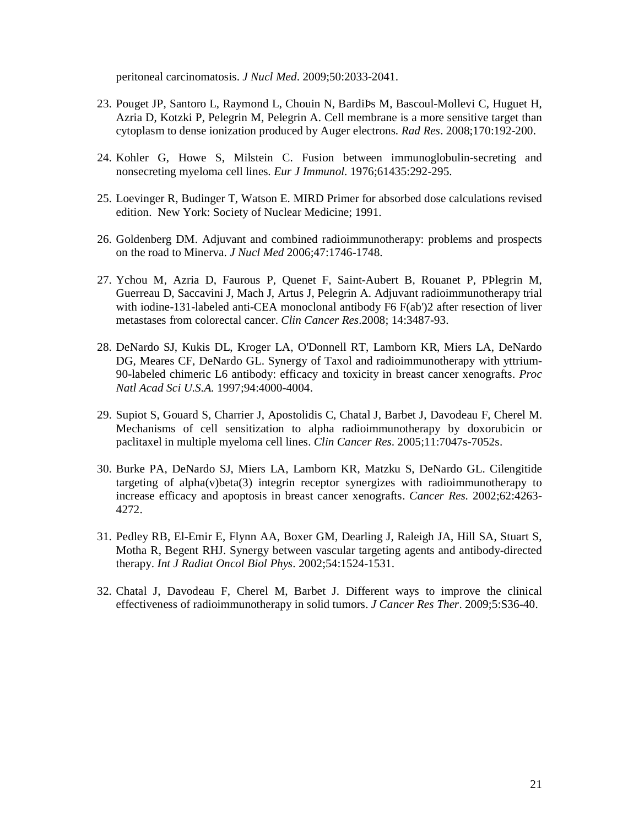peritoneal carcinomatosis. *J Nucl Med*. 2009;50:2033-2041.

- 23. Pouget JP, Santoro L, Raymond L, Chouin N, BardiÞs M, Bascoul-Mollevi C, Huguet H, Azria D, Kotzki P, Pelegrin M, Pelegrin A. Cell membrane is a more sensitive target than cytoplasm to dense ionization produced by Auger electrons. *Rad Res*. 2008;170:192-200.
- 24. Kohler G, Howe S, Milstein C. Fusion between immunoglobulin-secreting and nonsecreting myeloma cell lines. *Eur J Immunol.* 1976;61435:292-295.
- 25. Loevinger R, Budinger T, Watson E. MIRD Primer for absorbed dose calculations revised edition. New York: Society of Nuclear Medicine; 1991.
- 26. Goldenberg DM. Adjuvant and combined radioimmunotherapy: problems and prospects on the road to Minerva. *J Nucl Med* 2006;47:1746-1748.
- 27. Ychou M, Azria D, Faurous P, Quenet F, Saint-Aubert B, Rouanet P, PÞlegrin M, Guerreau D, Saccavini J, Mach J, Artus J, Pelegrin A. Adjuvant radioimmunotherapy trial with iodine-131-labeled anti-CEA monoclonal antibody F6 F(ab')2 after resection of liver metastases from colorectal cancer. *Clin Cancer Res*.2008; 14:3487-93.
- 28. DeNardo SJ, Kukis DL, Kroger LA, O'Donnell RT, Lamborn KR, Miers LA, DeNardo DG, Meares CF, DeNardo GL. Synergy of Taxol and radioimmunotherapy with yttrium-90-labeled chimeric L6 antibody: efficacy and toxicity in breast cancer xenografts. *Proc Natl Acad Sci U.S.A.* 1997;94:4000-4004.
- 29. Supiot S, Gouard S, Charrier J, Apostolidis C, Chatal J, Barbet J, Davodeau F, Cherel M. Mechanisms of cell sensitization to alpha radioimmunotherapy by doxorubicin or paclitaxel in multiple myeloma cell lines. *Clin Cancer Res*. 2005;11:7047s-7052s.
- 30. Burke PA, DeNardo SJ, Miers LA, Lamborn KR, Matzku S, DeNardo GL. Cilengitide targeting of alpha(v)beta(3) integrin receptor synergizes with radioimmunotherapy to increase efficacy and apoptosis in breast cancer xenografts. *Cancer Res.* 2002;62:4263- 4272.
- 31. Pedley RB, El-Emir E, Flynn AA, Boxer GM, Dearling J, Raleigh JA, Hill SA, Stuart S, Motha R, Begent RHJ. Synergy between vascular targeting agents and antibody-directed therapy. *Int J Radiat Oncol Biol Phys.* 2002;54:1524-1531.
- 32. Chatal J, Davodeau F, Cherel M, Barbet J. Different ways to improve the clinical effectiveness of radioimmunotherapy in solid tumors. *J Cancer Res Ther*. 2009;5:S36-40.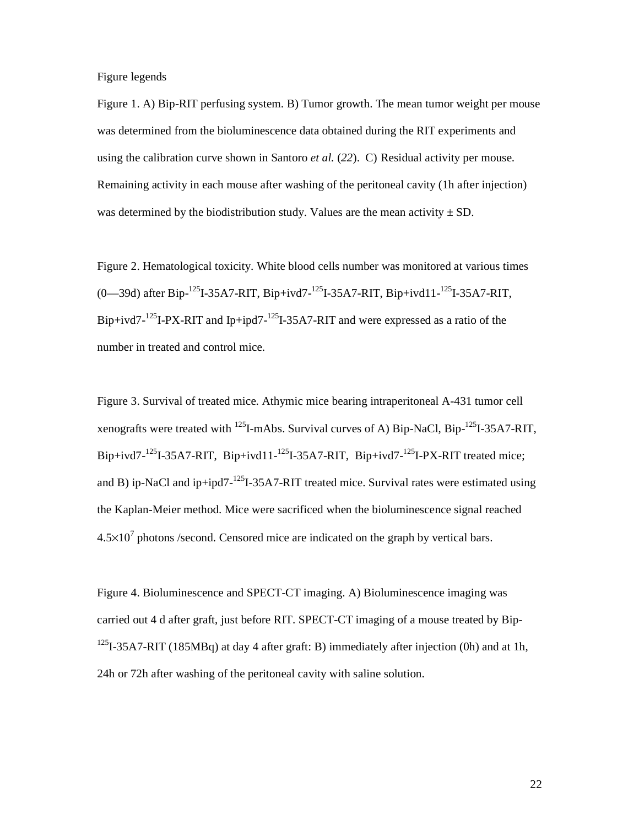Figure legends

Figure 1. A) Bip-RIT perfusing system. B) Tumor growth. The mean tumor weight per mouse was determined from the bioluminescence data obtained during the RIT experiments and using the calibration curve shown in Santoro *et al.* (*22*). C) Residual activity per mouse. Remaining activity in each mouse after washing of the peritoneal cavity (1h after injection) was determined by the biodistribution study. Values are the mean activity  $\pm$  SD.

Figure 2. Hematological toxicity. White blood cells number was monitored at various times (0—39d) after Bip- $^{125}I$ -35A7-RIT, Bip+ivd7- $^{125}I$ -35A7-RIT, Bip+ivd11- $^{125}I$ -35A7-RIT, Bip+ivd7-<sup>125</sup>I-PX-RIT and Ip+ipd7-<sup>125</sup>I-35A7-RIT and were expressed as a ratio of the number in treated and control mice.

Figure 3. Survival of treated mice. Athymic mice bearing intraperitoneal A-431 tumor cell xenografts were treated with  $^{125}$ I-mAbs. Survival curves of A) Bip-NaCl, Bip-<sup>125</sup>I-35A7-RIT, Bip+ivd7-<sup>125</sup>I-35A7-RIT, Bip+ivd11-<sup>125</sup>I-35A7-RIT, Bip+ivd7-<sup>125</sup>I-PX-RIT treated mice; and B) ip-NaCl and ip+ipd7-<sup>125</sup>I-35A7-RIT treated mice. Survival rates were estimated using the Kaplan-Meier method. Mice were sacrificed when the bioluminescence signal reached  $4.5 \times 10^7$  photons /second. Censored mice are indicated on the graph by vertical bars.

Figure 4. Bioluminescence and SPECT-CT imaging. A) Bioluminescence imaging was carried out 4 d after graft, just before RIT. SPECT-CT imaging of a mouse treated by Bip-<sup>125</sup>I-35A7-RIT (185MBq) at day 4 after graft: B) immediately after injection (0h) and at 1h, 24h or 72h after washing of the peritoneal cavity with saline solution.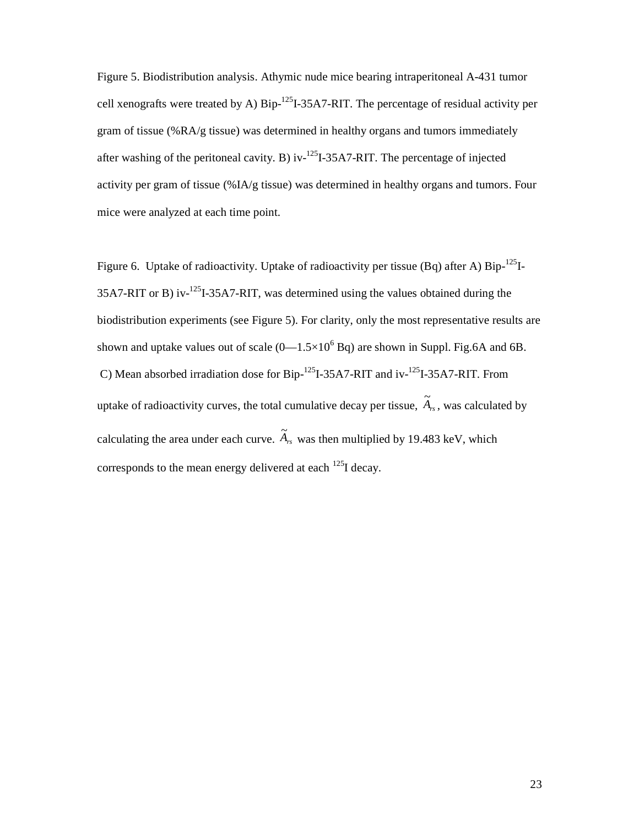Figure 5. Biodistribution analysis. Athymic nude mice bearing intraperitoneal A-431 tumor cell xenografts were treated by A)  $\text{Bip}$ <sup>-125</sup>I-35A7-RIT. The percentage of residual activity per gram of tissue (%RA/g tissue) was determined in healthy organs and tumors immediately after washing of the peritoneal cavity. B) iv- $^{125}$ I-35A7-RIT. The percentage of injected activity per gram of tissue (%IA/g tissue) was determined in healthy organs and tumors. Four mice were analyzed at each time point.

Figure 6. Uptake of radioactivity. Uptake of radioactivity per tissue (Bq) after A) Bip-<sup>125</sup>I-35A7-RIT or B) iv-125I-35A7-RIT, was determined using the values obtained during the biodistribution experiments (see Figure 5). For clarity, only the most representative results are shown and uptake values out of scale  $(0-1.5\times10^{6}$  Bq) are shown in Suppl. Fig.6A and 6B. C) Mean absorbed irradiation dose for Bip-<sup>125</sup>I-35A7-RIT and iv-<sup>125</sup>I-35A7-RIT. From uptake of radioactivity curves, the total cumulative decay per tissue,  $\widetilde{A}_{rs}$ , was calculated by calculating the area under each curve.  $\widetilde{A}_{rs}$  was then multiplied by 19.483 keV, which corresponds to the mean energy delivered at each  $^{125}$ I decay.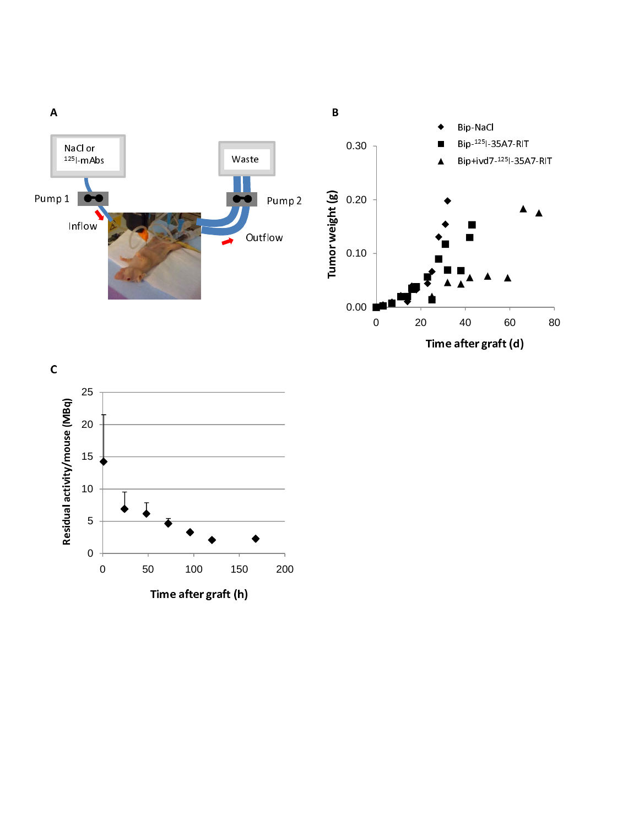

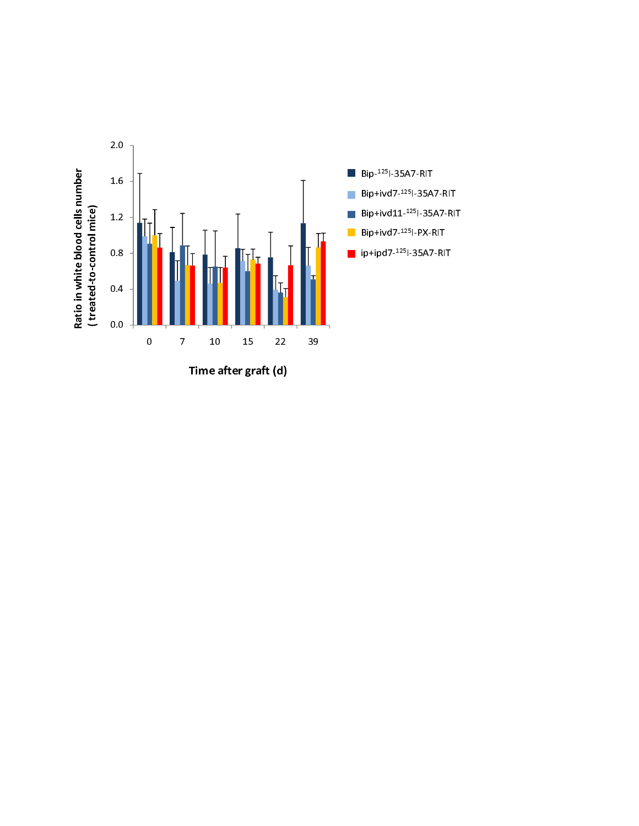

Time after graft (d)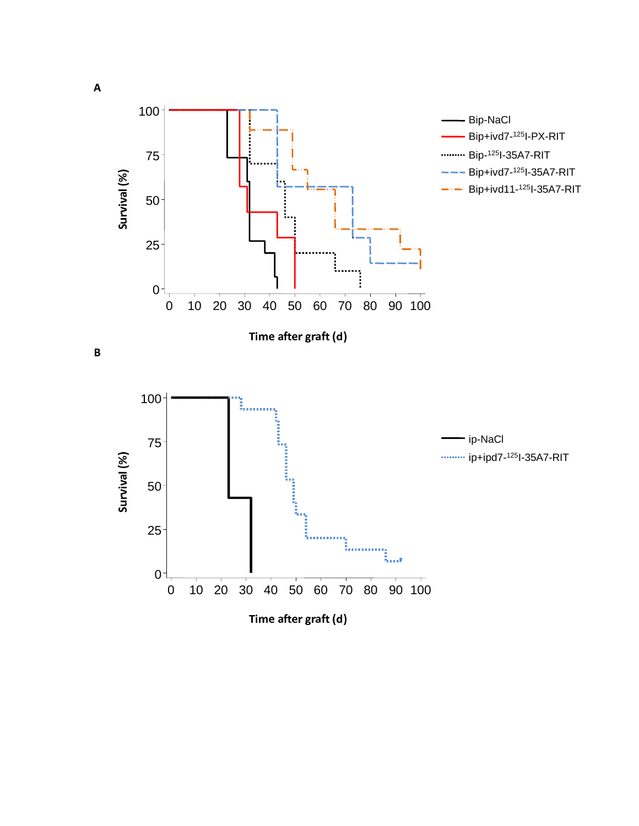

A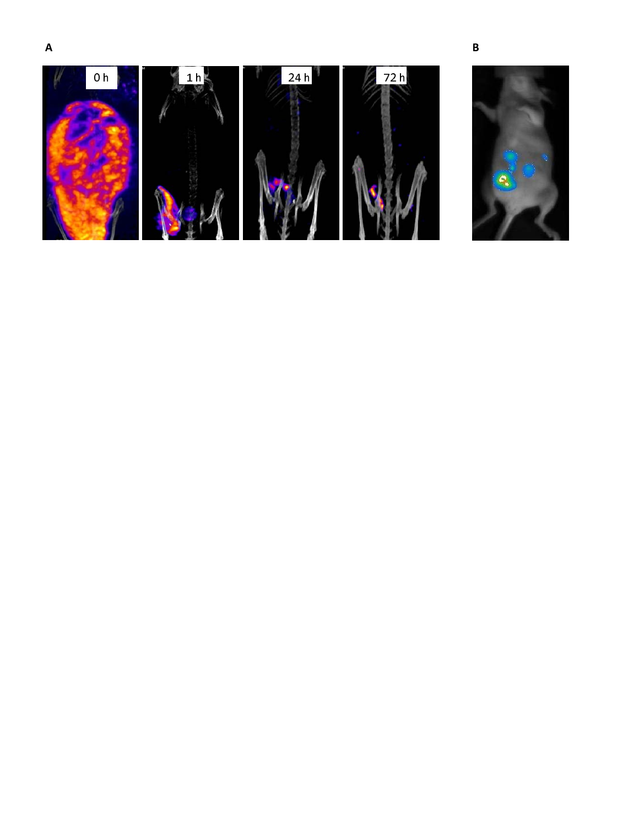

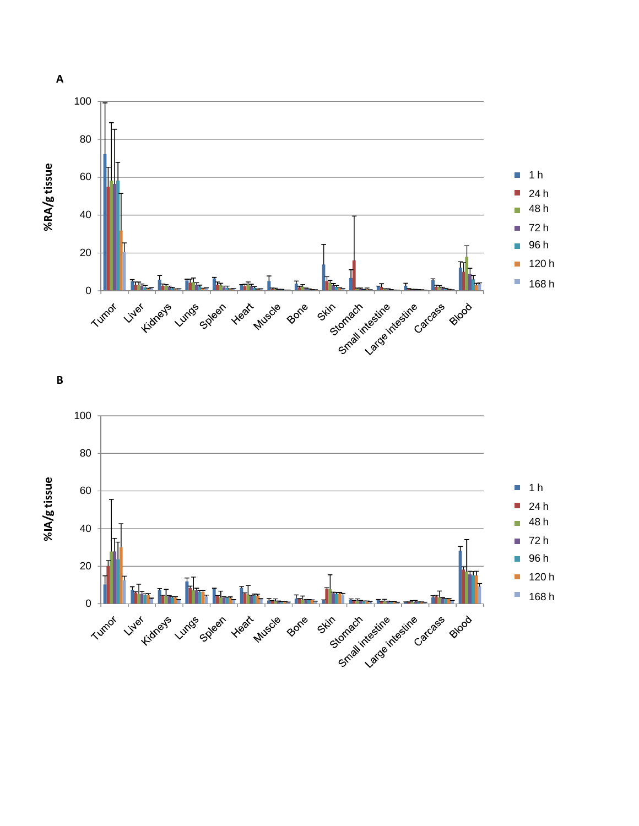

 $\overline{\mathbf{B}}$ 



 $\overline{A}$